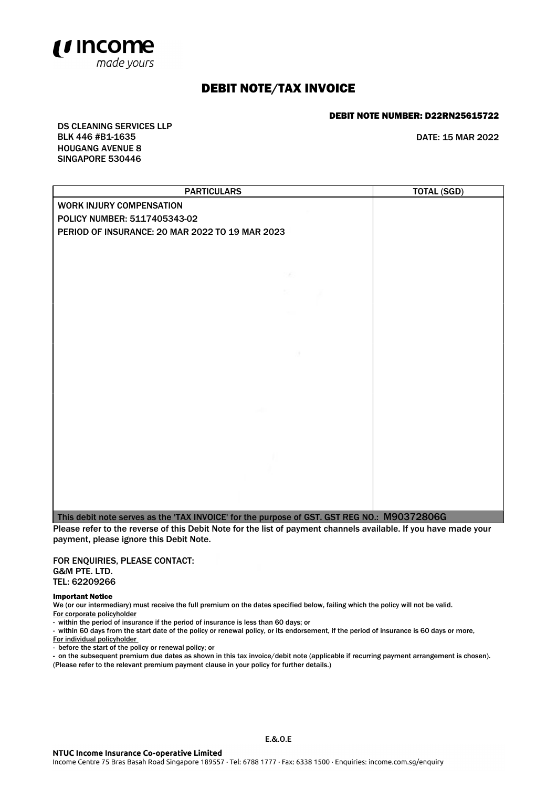

## DEBIT NOTE/TAX INVOICE

## DEBIT NOTE NUMBER: D22RN25615722

DS CLEANING SERVICES LLP BLK 446 #B1-1635 DATE: 15 MAR 2022 HOUGANG AVENUE 8 SINGAPORE 530446

| <b>PARTICULARS</b>                                                                          | <b>TOTAL (SGD)</b> |
|---------------------------------------------------------------------------------------------|--------------------|
| WORK INJURY COMPENSATION                                                                    |                    |
| POLICY NUMBER: 5117405343-02                                                                |                    |
| PERIOD OF INSURANCE: 20 MAR 2022 TO 19 MAR 2023                                             |                    |
|                                                                                             |                    |
|                                                                                             |                    |
|                                                                                             |                    |
|                                                                                             |                    |
|                                                                                             |                    |
|                                                                                             |                    |
|                                                                                             |                    |
|                                                                                             |                    |
|                                                                                             |                    |
|                                                                                             |                    |
|                                                                                             |                    |
|                                                                                             |                    |
|                                                                                             |                    |
|                                                                                             |                    |
|                                                                                             |                    |
|                                                                                             |                    |
|                                                                                             |                    |
|                                                                                             |                    |
|                                                                                             |                    |
| This debit note serves as the 'TAX INVOICE' for the purpose of GST. GST REG NO.: M90372806G |                    |

Please refer to the reverse of this Debit Note for the list of payment channels available. If you have made your payment, please ignore this Debit Note.

FOR ENQUIRIES, PLEASE CONTACT: G&M PTE. LTD. TEL: 62209266

Important Notice

We (or our intermediary) must receive the full premium on the dates specified below, failing which the policy will not be valid. For corporate policyholder

- within the period of insurance if the period of insurance is less than 60 days; or

- within 60 days from the start date of the policy or renewal policy, or its endorsement, if the period of insurance is 60 days or more, For individual policyholder

- before the start of the policy or renewal policy; or

- on the subsequent premium due dates as shown in this tax invoice/debit note (applicable if recurring payment arrangement is chosen). (Please refer to the relevant premium payment clause in your policy for further details.)